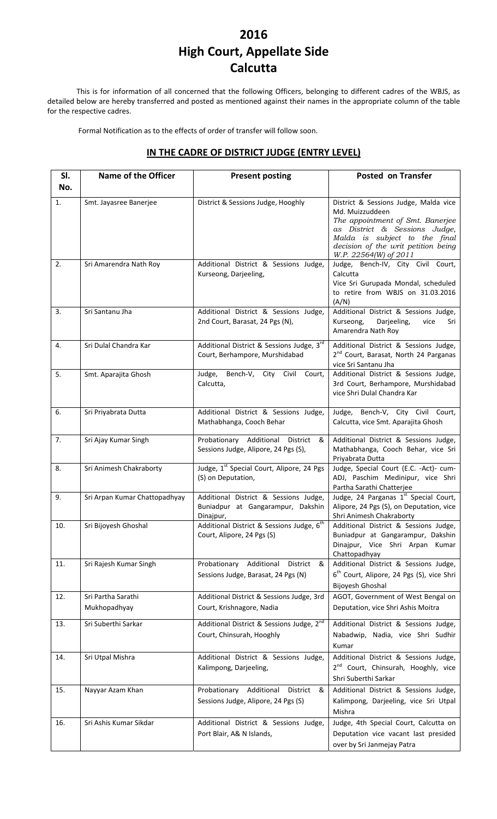# **2016 High Court, Appellate Side Calcutta**

This is for information of all concerned that the following Officers, belonging to different cadres of the WBJS, as detailed below are hereby transferred and posted as mentioned against their names in the appropriate column of the table for the respective cadres.

Formal Notification as to the effects of order of transfer will follow soon.

#### **Sl. No. Name** of the Officer **Present** posting **Posted** on Transfer 1. Smt. Jayasree Banerjee | District & Sessions Judge, Hooghly | District & Sessions Judge, Malda vice Md. Muizzuddeen *The appointment of Smt. Banerjee as District & Sessions Judge, Malda is subject to the final decision of the writ petition being W.P. 22564(W) of 2011* 2. Sri Amarendra Nath Roy Additional District & Sessions Judge, Kurseong, Darjeeling, Judge, Bench‐IV, City Civil Court, Calcutta Vice Sri Gurupada Mondal, scheduled to retire from WBJS on 31.03.2016 (A/N) 3. Sri Santanu Jha Additional District & Sessions Judge, 2nd Court, Barasat, 24 Pgs (N), Additional District & Sessions Judge,<br>Kurseong, Darieeling, vice Sri Kurseong, Darjeeling, vice Amarendra Nath Roy 4. Sri Dulal Chandra Kar Additional District & Sessions Judge, 3<sup>rd</sup> Court, Berhampore, Murshidabad Additional District & Sessions Judge, 2<sup>nd</sup> Court, Barasat, North 24 Parganas vice Sri Santanu Jha 5. Smt. Aparajita Ghosh Judge, Bench-V, City Civil Court, Calcutta, Additional District & Sessions Judge, 3rd Court, Berhampore, Murshidabad vice Shri Dulal Chandra Kar 6. Sri Priyabrata Dutta | Additional District & Sessions Judge, Mathabhanga, Cooch Behar Judge, Bench‐V, City Civil Court, Calcutta, vice Smt. Aparajita Ghosh 7. Sri Ajay Kumar Singh Probationary Additional District & Sessions Judge, Alipore, 24 Pgs (S), Additional District & Sessions Judge, Mathabhanga, Cooch Behar, vice Sri Priyabrata Dutta 8. Sri Animesh Chakraborty Judge, 1<sup>st</sup> Special Court, Alipore, 24 Pgs (S) on Deputation, Judge, Special Court (E.C. ‐Act)‐ cum‐ ADJ, Paschim Medinipur, vice Shri Partha Sarathi Chatterjee 9. Sri Arpan Kumar Chattopadhyay | Additional District & Sessions Judge, Buniadpur at Gangarampur, Dakshin Dinajpur, Judge, 24 Parganas 1st Special Court, Alipore, 24 Pgs (S), on Deputation, vice Shri Animesh Chakraborty 10. Sri Bijoyesh Ghoshal **Additional District & Sessions Judge**,  $6^{t}$ Court, Alipore, 24 Pgs (S) Additional District & Sessions Judge, Buniadpur at Gangarampur, Dakshin Dinajpur, Vice Shri Arpan Kumar Chattopadhyay 11. Sri Rajesh Kumar Singh Probationary Additional District & Sessions Judge, Barasat, 24 Pgs (N) Additional District & Sessions Judge, 6<sup>th</sup> Court, Alipore, 24 Pgs (S), vice Shri Bijoyesh Ghoshal 12. Sri Partha Sarathi Mukhopadhyay Additional District & Sessions Judge, 3rd Court, Krishnagore, Nadia AGOT, Government of West Bengal on Deputation, vice Shri Ashis Moitra 13. Sri Suberthi Sarkar Additional District & Sessions Judge, 2<sup>nd</sup> Additional District & Sessions Judge, 2<sup>nd</sup> Court, Chinsurah, Hooghly Additional District & Sessions Judge, Nabadwip, Nadia, vice Shri Sudhir Kumar 14. Sri Utpal Mishra **Additional District & Sessions Judge**, Kalimpong, Darjeeling, Additional District & Sessions Judge, 2<sup>nd</sup> Court, Chinsurah, Hooghly, vice Shri Suberthi Sarkar 15. Nayyar Azam Khan **Probationary Additional District &** Sessions Judge, Alipore, 24 Pgs (S) Additional District & Sessions Judge, Kalimpong, Darjeeling, vice Sri Utpal Mishra 16. Sri Ashis Kumar Sikdar | Additional District & Sessions Judge, Port Blair, A& N Islands, Judge, 4th Special Court, Calcutta on Deputation vice vacant last presided over by Sri Janmejay Patra

### **IN THE CADRE OF DISTRICT JUDGE (ENTRY LEVEL)**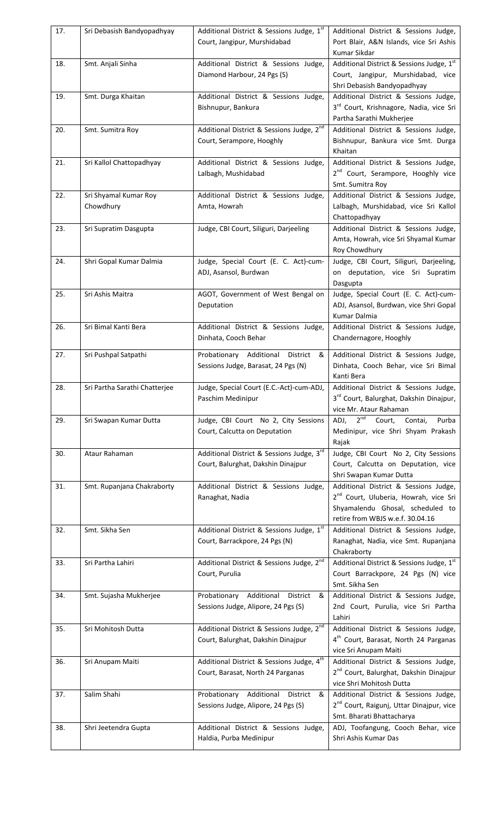| 17. | Sri Debasish Bandyopadhyay         | Additional District & Sessions Judge, 1st<br>Court, Jangipur, Murshidabad                   | Additional District & Sessions Judge,<br>Port Blair, A&N Islands, vice Sri Ashis<br>Kumar Sikdar                                                                   |
|-----|------------------------------------|---------------------------------------------------------------------------------------------|--------------------------------------------------------------------------------------------------------------------------------------------------------------------|
| 18. | Smt. Anjali Sinha                  | Additional District & Sessions Judge,<br>Diamond Harbour, 24 Pgs (S)                        | Additional District & Sessions Judge, 1st<br>Court, Jangipur, Murshidabad, vice<br>Shri Debasish Bandyopadhyay                                                     |
| 19. | Smt. Durga Khaitan                 | Additional District & Sessions Judge,<br>Bishnupur, Bankura                                 | Additional District & Sessions Judge,<br>3 <sup>rd</sup> Court, Krishnagore, Nadia, vice Sri<br>Partha Sarathi Mukherjee                                           |
| 20. | Smt. Sumitra Roy                   | Additional District & Sessions Judge, 2 <sup>nd</sup><br>Court, Serampore, Hooghly          | Additional District & Sessions Judge,<br>Bishnupur, Bankura vice Smt. Durga<br>Khaitan                                                                             |
| 21. | Sri Kallol Chattopadhyay           | Additional District & Sessions Judge,<br>Lalbagh, Mushidabad                                | Additional District & Sessions Judge,<br>2 <sup>nd</sup> Court, Serampore, Hooghly vice<br>Smt. Sumitra Roy                                                        |
| 22. | Sri Shyamal Kumar Roy<br>Chowdhury | Additional District & Sessions Judge,<br>Amta, Howrah                                       | Additional District & Sessions Judge,<br>Lalbagh, Murshidabad, vice Sri Kallol<br>Chattopadhyay                                                                    |
| 23. | Sri Supratim Dasgupta              | Judge, CBI Court, Siliguri, Darjeeling                                                      | Additional District & Sessions Judge,<br>Amta, Howrah, vice Sri Shyamal Kumar<br>Roy Chowdhury                                                                     |
| 24. | Shri Gopal Kumar Dalmia            | Judge, Special Court (E. C. Act)-cum-<br>ADJ, Asansol, Burdwan                              | Judge, CBI Court, Siliguri, Darjeeling,<br>on deputation, vice Sri Supratim<br>Dasgupta                                                                            |
| 25. | Sri Ashis Maitra                   | AGOT, Government of West Bengal on<br>Deputation                                            | Judge, Special Court (E. C. Act)-cum-<br>ADJ, Asansol, Burdwan, vice Shri Gopal<br>Kumar Dalmia                                                                    |
| 26. | Sri Bimal Kanti Bera               | Additional District & Sessions Judge,<br>Dinhata, Cooch Behar                               | Additional District & Sessions Judge,<br>Chandernagore, Hooghly                                                                                                    |
| 27. | Sri Pushpal Satpathi               | Probationary Additional District<br>&<br>Sessions Judge, Barasat, 24 Pgs (N)                | Additional District & Sessions Judge,<br>Dinhata, Cooch Behar, vice Sri Bimal<br>Kanti Bera                                                                        |
| 28. | Sri Partha Sarathi Chatteriee      | Judge, Special Court (E.C.-Act)-cum-ADJ,<br>Paschim Medinipur                               | Additional District & Sessions Judge,<br>3rd Court, Balurghat, Dakshin Dinajpur,<br>vice Mr. Ataur Rahaman                                                         |
| 29. | Sri Swapan Kumar Dutta             | Judge, CBI Court No 2, City Sessions<br>Court, Calcutta on Deputation                       | 2 <sup>nd</sup><br>ADJ,<br>Court,<br>Contai,<br>Purba<br>Medinipur, vice Shri Shyam Prakash<br>Rajak                                                               |
| 30. | Ataur Rahaman                      | Additional District & Sessions Judge, 3rd<br>Court, Balurghat, Dakshin Dinajpur             | Judge, CBI Court No 2, City Sessions<br>Court, Calcutta on Deputation, vice<br>Shri Swapan Kumar Dutta                                                             |
| 31. | Smt. Rupanjana Chakraborty         | Additional District & Sessions Judge,<br>Ranaghat, Nadia                                    | Additional District & Sessions Judge,<br>2 <sup>nd</sup> Court, Uluberia, Howrah, vice Sri<br>Shyamalendu Ghosal, scheduled to<br>retire from WBJS w.e.f. 30.04.16 |
| 32. | Smt. Sikha Sen                     | Additional District & Sessions Judge, 1st<br>Court, Barrackpore, 24 Pgs (N)                 | Additional District & Sessions Judge,<br>Ranaghat, Nadia, vice Smt. Rupanjana<br>Chakraborty                                                                       |
| 33. | Sri Partha Lahiri                  | Additional District & Sessions Judge, 2 <sup>nd</sup><br>Court, Purulia                     | Additional District & Sessions Judge, 1st<br>Court Barrackpore, 24 Pgs (N) vice<br>Smt. Sikha Sen                                                                  |
| 34. | Smt. Sujasha Mukherjee             | Probationary Additional District<br>&<br>Sessions Judge, Alipore, 24 Pgs (S)                | Additional District & Sessions Judge,<br>2nd Court, Purulia, vice Sri Partha<br>Lahiri                                                                             |
| 35. | Sri Mohitosh Dutta                 | Additional District & Sessions Judge, 2 <sup>nd</sup><br>Court, Balurghat, Dakshin Dinajpur | Additional District & Sessions Judge,<br>4 <sup>th</sup> Court, Barasat, North 24 Parganas<br>vice Sri Anupam Maiti                                                |
| 36. | Sri Anupam Maiti                   | Additional District & Sessions Judge, 4 <sup>th</sup><br>Court, Barasat, North 24 Parganas  | Additional District & Sessions Judge,<br>2 <sup>nd</sup> Court, Balurghat, Dakshin Dinajpur<br>vice Shri Mohitosh Dutta                                            |
| 37. | Salim Shahi                        | Probationary Additional<br>District<br>&<br>Sessions Judge, Alipore, 24 Pgs (S)             | Additional District & Sessions Judge,<br>2 <sup>nd</sup> Court, Raigunj, Uttar Dinajpur, vice<br>Smt. Bharati Bhattacharya                                         |
| 38. | Shri Jeetendra Gupta               | Additional District & Sessions Judge,<br>Haldia, Purba Medinipur                            | ADJ, Toofangung, Cooch Behar, vice<br>Shri Ashis Kumar Das                                                                                                         |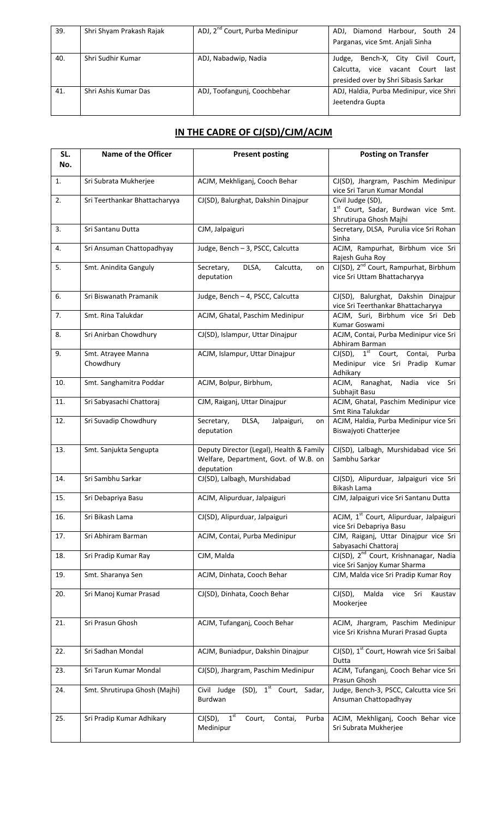| 39. | Shri Shyam Prakash Rajak | ADJ, 2 <sup>nd</sup> Court, Purba Medinipur | ADJ, Diamond Harbour, South 24          |
|-----|--------------------------|---------------------------------------------|-----------------------------------------|
|     |                          |                                             | Parganas, vice Smt. Anjali Sinha        |
| 40. | Shri Sudhir Kumar        | ADJ, Nabadwip, Nadia                        | Bench-X, City Civil Court,<br>Judge,    |
|     |                          |                                             | Calcutta, vice vacant Court last        |
|     |                          |                                             | presided over by Shri Sibasis Sarkar    |
| 41. | Shri Ashis Kumar Das     | ADJ, Toofangunj, Coochbehar                 | ADJ, Haldia, Purba Medinipur, vice Shri |
|     |                          |                                             | Jeetendra Gupta                         |
|     |                          |                                             |                                         |

## **IN THE CADRE OF CJ(SD)/CJM/ACJM**

| SL.<br>No. | <b>Name of the Officer</b>      | <b>Present posting</b>                                                                          | <b>Posting on Transfer</b>                                                                  |
|------------|---------------------------------|-------------------------------------------------------------------------------------------------|---------------------------------------------------------------------------------------------|
| 1.         | Sri Subrata Mukherjee           | ACJM, Mekhliganj, Cooch Behar                                                                   | CJ(SD), Jhargram, Paschim Medinipur<br>vice Sri Tarun Kumar Mondal                          |
| 2.         | Sri Teerthankar Bhattacharyya   | CJ(SD), Balurghat, Dakshin Dinajpur                                                             | Civil Judge (SD),<br>1st Court, Sadar, Burdwan vice Smt.<br>Shrutirupa Ghosh Majhi          |
| 3.         | Sri Santanu Dutta               | CJM, Jalpaiguri                                                                                 | Secretary, DLSA, Purulia vice Sri Rohan<br>Sinha                                            |
| 4.         | Sri Ansuman Chattopadhyay       | Judge, Bench - 3, PSCC, Calcutta                                                                | ACJM, Rampurhat, Birbhum vice Sri<br>Rajesh Guha Roy                                        |
| 5.         | Smt. Anindita Ganguly           | Secretary,<br>DLSA,<br>Calcutta,<br>on<br>deputation                                            | CJ(SD), 2 <sup>nd</sup> Court, Rampurhat, Birbhum<br>vice Sri Uttam Bhattacharyya           |
| 6.         | Sri Biswanath Pramanik          | Judge, Bench - 4, PSCC, Calcutta                                                                | CJ(SD), Balurghat, Dakshin Dinajpur<br>vice Sri Teerthankar Bhattacharyya                   |
| 7.         | Smt. Rina Talukdar              | ACJM, Ghatal, Paschim Medinipur                                                                 | ACJM, Suri, Birbhum vice Sri Deb<br>Kumar Goswami                                           |
| 8.         | Sri Anirban Chowdhury           | CJ(SD), Islampur, Uttar Dinajpur                                                                | ACJM, Contai, Purba Medinipur vice Sri<br>Abhiram Barman                                    |
| 9.         | Smt. Atrayee Manna<br>Chowdhury | ACJM, Islampur, Uttar Dinajpur                                                                  | CJ(SD), 1 <sup>st</sup> Court, Contai, Purba<br>Medinipur vice Sri Pradip Kumar<br>Adhikary |
| 10.        | Smt. Sanghamitra Poddar         | ACJM, Bolpur, Birbhum,                                                                          | ACJM, Ranaghat,<br>Nadia vice Sri<br>Subhajit Basu                                          |
| 11.        | Sri Sabyasachi Chattoraj        | CJM, Raiganj, Uttar Dinajpur                                                                    | ACJM, Ghatal, Paschim Medinipur vice<br>Smt Rina Talukdar                                   |
| 12.        | Sri Suvadip Chowdhury           | DLSA,<br>Secretary,<br>Jalpaiguri,<br>on<br>deputation                                          | ACJM, Haldia, Purba Medinipur vice Sri<br>Biswajyoti Chatterjee                             |
| 13.        | Smt. Sanjukta Sengupta          | Deputy Director (Legal), Health & Family<br>Welfare, Department, Govt. of W.B. on<br>deputation | CJ(SD), Lalbagh, Murshidabad vice Sri<br>Sambhu Sarkar                                      |
| 14.        | Sri Sambhu Sarkar               | CJ(SD), Lalbagh, Murshidabad                                                                    | CJ(SD), Alipurduar, Jalpaiguri vice Sri<br>Bikash Lama                                      |
| 15.        | Sri Debapriya Basu              | ACJM, Alipurduar, Jalpaiguri                                                                    | CJM, Jalpaiguri vice Sri Santanu Dutta                                                      |
| 16.        | Sri Bikash Lama                 | CJ(SD), Alipurduar, Jalpaiguri                                                                  | ACJM, 1 <sup>st</sup> Court, Alipurduar, Jalpaiguri<br>vice Sri Debapriya Basu              |
| 17.        | Sri Abhiram Barman              | ACJM, Contai, Purba Medinipur                                                                   | CJM, Raiganj, Uttar Dinajpur vice Sri<br>Sabyasachi Chattoraj                               |
| 18.        | Sri Pradip Kumar Ray            | CJM, Malda                                                                                      | CJ(SD), 2 <sup>nd</sup> Court, Krishnanagar, Nadia<br>vice Sri Sanjoy Kumar Sharma          |
| 19.        | Smt. Sharanya Sen               | ACJM, Dinhata, Cooch Behar                                                                      | CJM, Malda vice Sri Pradip Kumar Roy                                                        |
| 20.        | Sri Manoj Kumar Prasad          | CJ(SD), Dinhata, Cooch Behar                                                                    | Malda<br>vice<br>Kaustav<br>$CI(SD)$ ,<br>Sri<br>Mookerjee                                  |
| 21.        | Sri Prasun Ghosh                | ACJM, Tufanganj, Cooch Behar                                                                    | ACJM, Jhargram, Paschim Medinipur<br>vice Sri Krishna Murari Prasad Gupta                   |
| 22.        | Sri Sadhan Mondal               | ACJM, Buniadpur, Dakshin Dinajpur                                                               | CJ(SD), 1 <sup>st</sup> Court, Howrah vice Sri Saibal<br>Dutta                              |
| 23.        | Sri Tarun Kumar Mondal          | CJ(SD), Jhargram, Paschim Medinipur                                                             | ACJM, Tufanganj, Cooch Behar vice Sri<br>Prasun Ghosh                                       |
| 24.        | Smt. Shrutirupa Ghosh (Majhi)   | Civil Judge (SD), 1 <sup>st</sup> Court, Sadar,<br>Burdwan                                      | Judge, Bench-3, PSCC, Calcutta vice Sri<br>Ansuman Chattopadhyay                            |
| 25.        | Sri Pradip Kumar Adhikary       | 1 <sup>st</sup><br>$CI(SD)$ ,<br>Court,<br>Purba<br>Contai,<br>Medinipur                        | ACJM, Mekhliganj, Cooch Behar vice<br>Sri Subrata Mukherjee                                 |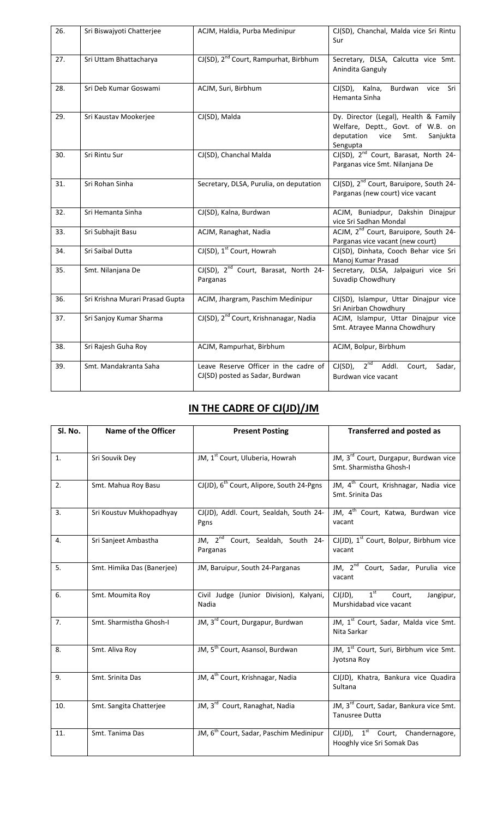| 26. | Sri Biswajyoti Chatterjee       | ACJM, Haldia, Purba Medinipur                                            | CJ(SD), Chanchal, Malda vice Sri Rintu<br>Sur                                                                              |
|-----|---------------------------------|--------------------------------------------------------------------------|----------------------------------------------------------------------------------------------------------------------------|
| 27. | Sri Uttam Bhattacharya          | CJ(SD), 2 <sup>nd</sup> Court, Rampurhat, Birbhum                        | Secretary, DLSA, Calcutta vice Smt.<br>Anindita Ganguly                                                                    |
| 28. | Sri Deb Kumar Goswami           | ACJM, Suri, Birbhum                                                      | CJ(SD), Kalna,<br>Burdwan vice Sri<br>Hemanta Sinha                                                                        |
| 29. | Sri Kaustav Mookerjee           | CJ(SD), Malda                                                            | Dy. Director (Legal), Health & Family<br>Welfare, Deptt., Govt. of W.B. on<br>deputation vice Smt.<br>Sanjukta<br>Sengupta |
| 30. | Sri Rintu Sur                   | CJ(SD), Chanchal Malda                                                   | CJ(SD), 2 <sup>nd</sup> Court, Barasat, North 24-<br>Parganas vice Smt. Nilanjana De                                       |
| 31. | Sri Rohan Sinha                 | Secretary, DLSA, Purulia, on deputation                                  | CJ(SD), 2 <sup>nd</sup> Court, Baruipore, South 24-<br>Parganas (new court) vice vacant                                    |
| 32. | Sri Hemanta Sinha               | CJ(SD), Kalna, Burdwan                                                   | ACJM, Buniadpur, Dakshin Dinajpur<br>vice Sri Sadhan Mondal                                                                |
| 33. | Sri Subhajit Basu               | ACJM, Ranaghat, Nadia                                                    | ACJM, 2 <sup>nd</sup> Court, Baruipore, South 24-<br>Parganas vice vacant (new court)                                      |
| 34. | Sri Saibal Dutta                | CJ(SD), 1 <sup>st</sup> Court, Howrah                                    | CJ(SD), Dinhata, Cooch Behar vice Sri<br>Manoj Kumar Prasad                                                                |
| 35. | Smt. Nilanjana De               | CJ(SD), 2 <sup>nd</sup> Court, Barasat, North 24-<br>Parganas            | Secretary, DLSA, Jalpaiguri vice Sri<br>Suvadip Chowdhury                                                                  |
| 36. | Sri Krishna Murari Prasad Gupta | ACJM, Jhargram, Paschim Medinipur                                        | CJ(SD), Islampur, Uttar Dinajpur vice<br>Sri Anirban Chowdhury                                                             |
| 37. | Sri Sanjoy Kumar Sharma         | CJ(SD), 2 <sup>nd</sup> Court, Krishnanagar, Nadia                       | ACJM, Islampur, Uttar Dinajpur vice<br>Smt. Atrayee Manna Chowdhury                                                        |
| 38. | Sri Rajesh Guha Roy             | ACJM, Rampurhat, Birbhum                                                 | ACJM, Bolpur, Birbhum                                                                                                      |
| 39. | Smt. Mandakranta Saha           | Leave Reserve Officer in the cadre of<br>CJ(SD) posted as Sadar, Burdwan | $CI(SD), 2nd$ Addl.<br>Court,<br>Sadar,<br>Burdwan vice vacant                                                             |

# **IN THE CADRE OF CJ(JD)/JM**

| SI. No. | Name of the Officer        | <b>Present Posting</b>                                    | <b>Transferred and posted as</b>                                             |
|---------|----------------------------|-----------------------------------------------------------|------------------------------------------------------------------------------|
|         |                            |                                                           |                                                                              |
| 1.      | Sri Souvik Dey             | JM, 1 <sup>st</sup> Court, Uluberia, Howrah               | JM, 3 <sup>rd</sup> Court, Durgapur, Burdwan vice<br>Smt. Sharmistha Ghosh-I |
| 2.      | Smt. Mahua Roy Basu        | CJ(JD), 6 <sup>th</sup> Court, Alipore, South 24-Pgns     | JM, 4 <sup>th</sup> Court, Krishnagar, Nadia vice<br>Smt. Srinita Das        |
| 3.      | Sri Koustuv Mukhopadhyay   | CJ(JD), Addl. Court, Sealdah, South 24-<br>Pgns           | JM, 4 <sup>th</sup> Court, Katwa, Burdwan vice<br>vacant                     |
| 4.      | Sri Sanjeet Ambastha       | JM, 2 <sup>nd</sup> Court, Sealdah, South 24-<br>Parganas | CJ(JD), 1 <sup>st</sup> Court, Bolpur, Birbhum vice<br>vacant                |
| 5.      | Smt. Himika Das (Banerjee) | JM, Baruipur, South 24-Parganas                           | JM, 2 <sup>nd</sup> Court, Sadar, Purulia vice<br>vacant                     |
| 6.      | Smt. Moumita Roy           | Civil Judge (Junior Division), Kalyani,<br>Nadia          | $CJ(JD)$ , $1^{st}$<br>Court,<br>Jangipur,<br>Murshidabad vice vacant        |
| 7.      | Smt. Sharmistha Ghosh-I    | JM, 3 <sup>rd</sup> Court, Durgapur, Burdwan              | JM, 1 <sup>st</sup> Court, Sadar, Malda vice Smt.<br>Nita Sarkar             |
| 8.      | Smt. Aliva Roy             | JM, 5 <sup>th</sup> Court, Asansol, Burdwan               | JM, 1 <sup>st</sup> Court, Suri, Birbhum vice Smt.<br>Jyotsna Roy            |
| 9.      | Smt. Srinita Das           | JM, 4 <sup>th</sup> Court, Krishnagar, Nadia              | CJ(JD), Khatra, Bankura vice Quadira<br>Sultana                              |
| 10.     | Smt. Sangita Chatterjee    | JM, 3rd Court, Ranaghat, Nadia                            | JM, 3 <sup>rd</sup> Court, Sadar, Bankura vice Smt.<br>Tanusree Dutta        |
| 11.     | Smt. Tanima Das            | JM, 6 <sup>th</sup> Court, Sadar, Paschim Medinipur       | $CJ(JD)$ , $1^{st}$ Court, Chandernagore,<br>Hooghly vice Sri Somak Das      |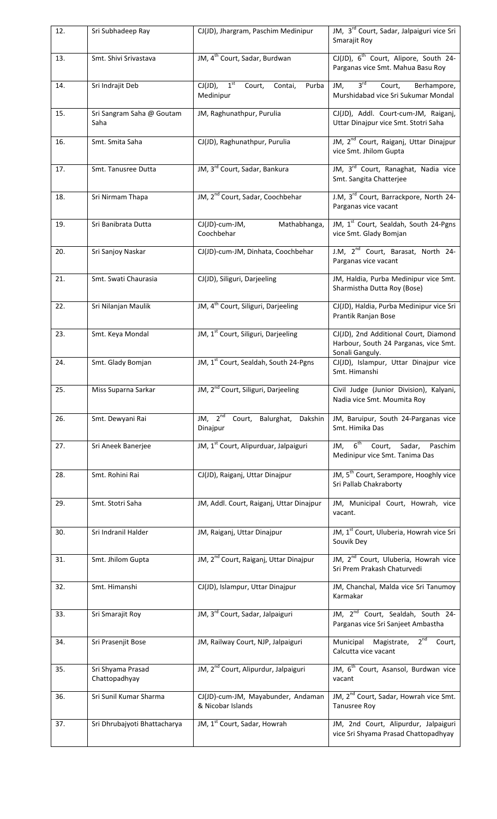| 12. | Sri Subhadeep Ray                  | CJ(JD), Jhargram, Paschim Medinipur                                       | JM, 3 <sup>rd</sup> Court, Sadar, Jalpaiguri vice Sri<br>Smarajit Roy                  |
|-----|------------------------------------|---------------------------------------------------------------------------|----------------------------------------------------------------------------------------|
| 13. | Smt. Shivi Srivastava              | JM, 4 <sup>th</sup> Court, Sadar, Burdwan                                 | CJ(JD), 6 <sup>th</sup> Court, Alipore, South 24-<br>Parganas vice Smt. Mahua Basu Roy |
| 14. | Sri Indrajit Deb                   | $CJ(JD)$ , $\overline{1^{st}}$<br>Court,<br>Contai,<br>Purba<br>Medinipur | 3 <sup>rd</sup><br>Court,<br>Berhampore,<br>JM,<br>Murshidabad vice Sri Sukumar Mondal |
| 15. | Sri Sangram Saha @ Goutam<br>Saha  | JM, Raghunathpur, Purulia                                                 | CJ(JD), Addl. Court-cum-JM, Raiganj,<br>Uttar Dinajpur vice Smt. Stotri Saha           |
| 16. | Smt. Smita Saha                    | CJ(JD), Raghunathpur, Purulia                                             | JM, 2 <sup>nd</sup> Court, Raiganj, Uttar Dinajpur<br>vice Smt. Jhilom Gupta           |
| 17. | Smt. Tanusree Dutta                | JM, 3rd Court, Sadar, Bankura                                             | JM, 3rd Court, Ranaghat, Nadia vice<br>Smt. Sangita Chatterjee                         |
| 18. | Sri Nirmam Thapa                   | JM, 2 <sup>nd</sup> Court, Sadar, Coochbehar                              | J.M, 3 <sup>rd</sup> Court, Barrackpore, North 24-<br>Parganas vice vacant             |
| 19. | Sri Banibrata Dutta                | CJ(JD)-cum-JM,<br>Mathabhanga,<br>Coochbehar                              | JM, 1 <sup>st</sup> Court, Sealdah, South 24-Pgns<br>vice Smt. Glady Bomjan            |
| 20. | Sri Sanjoy Naskar                  | CJ(JD)-cum-JM, Dinhata, Coochbehar                                        | J.M, 2 <sup>nd</sup> Court, Barasat, North 24-<br>Parganas vice vacant                 |
| 21. | Smt. Swati Chaurasia               | CJ(JD), Siliguri, Darjeeling                                              | JM, Haldia, Purba Medinipur vice Smt.<br>Sharmistha Dutta Roy (Bose)                   |
| 22. | Sri Nilanjan Maulik                | JM, 4 <sup>th</sup> Court, Siliguri, Darjeeling                           | CJ(JD), Haldia, Purba Medinipur vice Sri<br>Prantik Ranjan Bose                        |
| 23. | Smt. Keya Mondal                   | JM, 1 <sup>st</sup> Court, Siliguri, Darjeeling                           | CJ(JD), 2nd Additional Court, Diamond<br>Harbour, South 24 Parganas, vice Smt.         |
| 24. | Smt. Glady Bomjan                  | JM, 1 <sup>st</sup> Court, Sealdah, South 24-Pgns                         | Sonali Ganguly.<br>CJ(JD), Islampur, Uttar Dinajpur vice<br>Smt. Himanshi              |
| 25. | Miss Suparna Sarkar                | JM, 2 <sup>nd</sup> Court, Siliguri, Darjeeling                           | Civil Judge (Junior Division), Kalyani,<br>Nadia vice Smt. Moumita Roy                 |
| 26. | Smt. Dewyani Rai                   | JM, 2 <sup>nd</sup> Court, Balurghat, Dakshin<br>Dinajpur                 | JM, Baruipur, South 24-Parganas vice<br>Smt. Himika Das                                |
| 27. | Sri Aneek Banerjee                 | JM, 1 <sup>st</sup> Court, Alipurduar, Jalpaiguri                         | JM, 6 <sup>th</sup> Court, Sadar, Paschim<br>Medinipur vice Smt. Tanima Das            |
| 28. | Smt. Rohini Rai                    | CJ(JD), Raiganj, Uttar Dinajpur                                           | JM, 5 <sup>th</sup> Court, Serampore, Hooghly vice<br>Sri Pallab Chakraborty           |
| 29. | Smt. Stotri Saha                   | JM, Addl. Court, Raiganj, Uttar Dinajpur                                  | JM, Municipal Court, Howrah, vice<br>vacant.                                           |
| 30. | Sri Indranil Halder                | JM, Raiganj, Uttar Dinajpur                                               | JM, 1 <sup>st</sup> Court, Uluberia, Howrah vice Sri<br>Souvik Dey                     |
| 31. | Smt. Jhilom Gupta                  | JM, 2 <sup>nd</sup> Court, Raiganj, Uttar Dinajpur                        | JM, 2 <sup>nd</sup> Court, Uluberia, Howrah vice<br>Sri Prem Prakash Chaturvedi        |
| 32. | Smt. Himanshi                      | CJ(JD), Islampur, Uttar Dinajpur                                          | JM, Chanchal, Malda vice Sri Tanumoy<br>Karmakar                                       |
| 33. | Sri Smarajit Roy                   | JM, 3 <sup>rd</sup> Court, Sadar, Jalpaiguri                              | JM, 2 <sup>nd</sup> Court, Sealdah, South 24-<br>Parganas vice Sri Sanjeet Ambastha    |
| 34. | Sri Prasenjit Bose                 | JM, Railway Court, NJP, Jalpaiguri                                        | Municipal Magistrate, 2 <sup>nd</sup> Court,<br>Calcutta vice vacant                   |
| 35. | Sri Shyama Prasad<br>Chattopadhyay | JM, 2 <sup>nd</sup> Court, Alipurdur, Jalpaiguri                          | JM, 6 <sup>th</sup> Court, Asansol, Burdwan vice<br>vacant                             |
| 36. | Sri Sunil Kumar Sharma             | CJ(JD)-cum-JM, Mayabunder, Andaman<br>& Nicobar Islands                   | JM, 2 <sup>nd</sup> Court, Sadar, Howrah vice Smt.<br>Tanusree Roy                     |
| 37. | Sri Dhrubajyoti Bhattacharya       | JM, 1 <sup>st</sup> Court, Sadar, Howrah                                  | JM, 2nd Court, Alipurdur, Jalpaiguri<br>vice Sri Shyama Prasad Chattopadhyay           |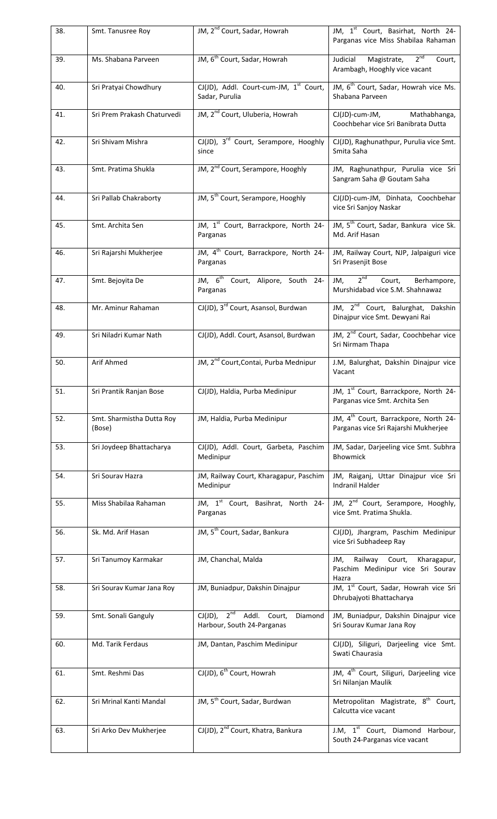| 38. | Smt. Tanusree Roy                   | JM, 2 <sup>nd</sup> Court, Sadar, Howrah                                  | JM, 1 <sup>st</sup> Court, Basirhat, North 24-<br>Parganas vice Miss Shabilaa Rahaman     |
|-----|-------------------------------------|---------------------------------------------------------------------------|-------------------------------------------------------------------------------------------|
| 39. | Ms. Shabana Parveen                 | JM, 6 <sup>th</sup> Court, Sadar, Howrah                                  | 2 <sup>nd</sup><br>Magistrate,<br>Judicial<br>Court,<br>Arambagh, Hooghly vice vacant     |
| 40. | Sri Pratyai Chowdhury               | CJ(JD), Addl. Court-cum-JM, 1 <sup>st</sup> Court,<br>Sadar, Purulia      | JM, 6 <sup>th</sup> Court, Sadar, Howrah vice Ms.<br>Shabana Parveen                      |
| 41. | Sri Prem Prakash Chaturvedi         | JM, 2 <sup>nd</sup> Court, Uluberia, Howrah                               | CJ(JD)-cum-JM, Mathabhanga,<br>Coochbehar vice Sri Banibrata Dutta                        |
| 42. | Sri Shivam Mishra                   | CJ(JD), 3 <sup>rd</sup> Court, Serampore, Hooghly<br>since                | CJ(JD), Raghunathpur, Purulia vice Smt.<br>Smita Saha                                     |
| 43. | Smt. Pratima Shukla                 | JM, 2 <sup>nd</sup> Court, Serampore, Hooghly                             | JM, Raghunathpur, Purulia vice Sri<br>Sangram Saha @ Goutam Saha                          |
| 44. | Sri Pallab Chakraborty              | JM, 5 <sup>th</sup> Court, Serampore, Hooghly                             | CJ(JD)-cum-JM, Dinhata, Coochbehar<br>vice Sri Sanjoy Naskar                              |
| 45. | Smt. Archita Sen                    | JM, 1st Court, Barrackpore, North 24-<br>Parganas                         | JM, 5 <sup>th</sup> Court, Sadar, Bankura vice Sk.<br>Md. Arif Hasan                      |
| 46. | Sri Rajarshi Mukherjee              | JM, 4 <sup>th</sup> Court, Barrackpore, North 24-<br>Parganas             | JM, Railway Court, NJP, Jalpaiguri vice<br>Sri Prasenjit Bose                             |
| 47. | Smt. Bejoyita De                    | JM, 6 <sup>th</sup> Court, Alipore, South 24-<br>Parganas                 | $2^{nd}$<br>JM,<br>Court,<br>Berhampore,<br>Murshidabad vice S.M. Shahnawaz               |
| 48. | Mr. Aminur Rahaman                  | CJ(JD), 3 <sup>rd</sup> Court, Asansol, Burdwan                           | JM, 2 <sup>nd</sup> Court, Balurghat, Dakshin<br>Dinajpur vice Smt. Dewyani Rai           |
| 49. | Sri Niladri Kumar Nath              | CJ(JD), Addl. Court, Asansol, Burdwan                                     | JM, 2 <sup>nd</sup> Court, Sadar, Coochbehar vice<br>Sri Nirmam Thapa                     |
| 50. | Arif Ahmed                          | JM, 2 <sup>nd</sup> Court, Contai, Purba Mednipur                         | J.M, Balurghat, Dakshin Dinajpur vice<br>Vacant                                           |
| 51. | Sri Prantik Ranjan Bose             | CJ(JD), Haldia, Purba Medinipur                                           | JM, 1 <sup>st</sup> Court, Barrackpore, North 24-<br>Parganas vice Smt. Archita Sen       |
| 52. | Smt. Sharmistha Dutta Roy<br>(Bose) | JM, Haldia, Purba Medinipur                                               | JM, 4 <sup>th</sup> Court, Barrackpore, North 24-<br>Parganas vice Sri Rajarshi Mukherjee |
| 53. | Sri Joydeep Bhattacharya            | CJ(JD), Addl. Court, Garbeta, Paschim<br>Medinipur                        | JM, Sadar, Darjeeling vice Smt. Subhra<br>Bhowmick                                        |
| 54. | Sri Sourav Hazra                    | JM, Railway Court, Kharagapur, Paschim<br>Medinipur                       | JM, Raiganj, Uttar Dinajpur vice Sri<br>Indranil Halder                                   |
| 55. | Miss Shabilaa Rahaman               | JM, 1 <sup>st</sup> Court, Basihrat, North 24-<br>Parganas                | JM, 2 <sup>nd</sup> Court, Serampore, Hooghly,<br>vice Smt. Pratima Shukla.               |
| 56. | Sk. Md. Arif Hasan                  | JM, 5 <sup>th</sup> Court, Sadar, Bankura                                 | CJ(JD), Jhargram, Paschim Medinipur<br>vice Sri Subhadeep Ray                             |
| 57. | Sri Tanumoy Karmakar                | JM, Chanchal, Malda                                                       | Railway Court,<br>Kharagapur,<br>JM,<br>Paschim Medinipur vice Sri Sourav<br>Hazra        |
| 58. | Sri Sourav Kumar Jana Roy           | JM, Buniadpur, Dakshin Dinajpur                                           | JM, 1 <sup>st</sup> Court, Sadar, Howrah vice Sri<br>Dhrubajyoti Bhattacharya             |
| 59. | Smt. Sonali Ganguly                 | $CJ(JD)$ , $2^{nd}$ Addl. Court,<br>Diamond<br>Harbour, South 24-Parganas | JM, Buniadpur, Dakshin Dinajpur vice<br>Sri Sourav Kumar Jana Roy                         |
| 60. | Md. Tarik Ferdaus                   | JM, Dantan, Paschim Medinipur                                             | CJ(JD), Siliguri, Darjeeling vice Smt.<br>Swati Chaurasia                                 |
| 61. | Smt. Reshmi Das                     | CJ(JD), 6 <sup>th</sup> Court, Howrah                                     | JM, 4 <sup>th</sup> Court, Siliguri, Darjeeling vice<br>Sri Nilanjan Maulik               |
| 62. | Sri Mrinal Kanti Mandal             | JM, 5 <sup>th</sup> Court, Sadar, Burdwan                                 | Metropolitan Magistrate, 8 <sup>th</sup> Court,<br>Calcutta vice vacant                   |
| 63. | Sri Arko Dev Mukherjee              | CJ(JD), 2 <sup>nd</sup> Court, Khatra, Bankura                            | J.M, 1 <sup>st</sup> Court, Diamond Harbour,<br>South 24-Parganas vice vacant             |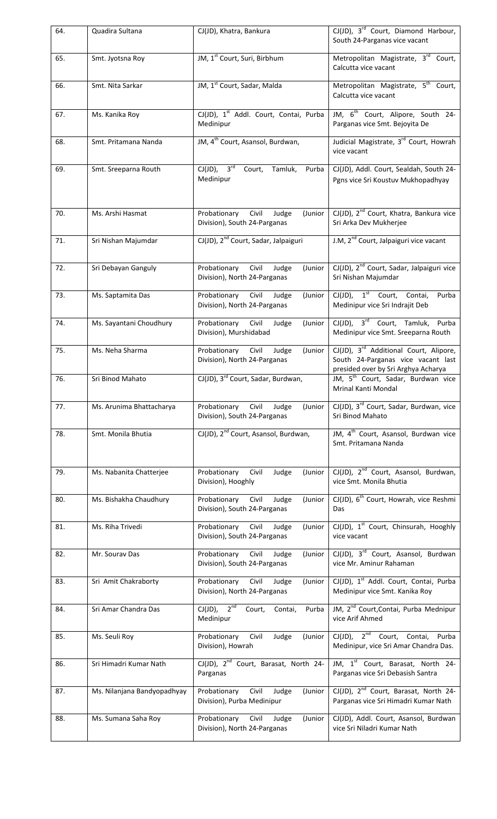| 64. | Quadira Sultana             | CJ(JD), Khatra, Bankura                                                   | $CI(JD)$ , $3rd$ Court, Diamond Harbour,<br>South 24-Parganas vice vacant                                                       |
|-----|-----------------------------|---------------------------------------------------------------------------|---------------------------------------------------------------------------------------------------------------------------------|
| 65. | Smt. Jyotsna Roy            | JM, 1 <sup>st</sup> Court, Suri, Birbhum                                  | Metropolitan Magistrate, 3rd Court,<br>Calcutta vice vacant                                                                     |
| 66. | Smt. Nita Sarkar            | JM, 1 <sup>st</sup> Court, Sadar, Malda                                   | Metropolitan Magistrate, 5 <sup>th</sup> Court,<br>Calcutta vice vacant                                                         |
| 67. | Ms. Kanika Roy              | CJ(JD), 1 <sup>st</sup> Addl. Court, Contai, Purba<br>Medinipur           | JM, 6 <sup>th</sup> Court, Alipore, South 24-<br>Parganas vice Smt. Bejoyita De                                                 |
| 68. | Smt. Pritamana Nanda        | JM, 4 <sup>th</sup> Court, Asansol, Burdwan,                              | Judicial Magistrate, 3rd Court, Howrah<br>vice vacant                                                                           |
| 69. | Smt. Sreeparna Routh        | 3 <sup>rd</sup><br>$CJ(JD)$ ,<br>Court,<br>Tamluk,<br>Purba<br>Medinipur  | CJ(JD), Addl. Court, Sealdah, South 24-<br>Pgns vice Sri Koustuv Mukhopadhyay                                                   |
| 70. | Ms. Arshi Hasmat            | Civil<br>Probationary<br>Judge<br>(Junior<br>Division), South 24-Parganas | CJ(JD), 2 <sup>nd</sup> Court, Khatra, Bankura vice<br>Sri Arka Dev Mukherjee                                                   |
| 71. | Sri Nishan Majumdar         | CJ(JD), 2 <sup>nd</sup> Court, Sadar, Jalpaiguri                          | J.M, 2 <sup>nd</sup> Court, Jalpaiguri vice vacant                                                                              |
| 72. | Sri Debayan Ganguly         | Probationary Civil<br>Judge<br>(Junior<br>Division), North 24-Parganas    | CJ(JD), 2 <sup>nd</sup> Court, Sadar, Jalpaiguri vice<br>Sri Nishan Majumdar                                                    |
| 73. | Ms. Saptamita Das           | Probationary<br>Civil<br>(Junior<br>Judge<br>Division), North 24-Parganas | $\overline{CJ(JD)}$ , 1 <sup>st</sup> Court, Contai,<br>Purba<br>Medinipur vice Sri Indrajit Deb                                |
| 74. | Ms. Sayantani Choudhury     | Probationary<br>Civil<br>Judge<br>(Junior<br>Division), Murshidabad       | $CJ(JD)$ , $3rd$ Court, Tamluk, Purba<br>Medinipur vice Smt. Sreeparna Routh                                                    |
| 75. | Ms. Neha Sharma             | Probationary<br>Civil<br>Judge<br>(Junior<br>Division), North 24-Parganas | CJ(JD), 3 <sup>rd</sup> Additional Court, Alipore,<br>South 24-Parganas vice vacant last<br>presided over by Sri Arghya Acharya |
| 76. | Sri Binod Mahato            | CJ(JD), 3 <sup>rd</sup> Court, Sadar, Burdwan,                            | JM, 5 <sup>th</sup> Court, Sadar, Burdwan vice<br>Mrinal Kanti Mondal                                                           |
| 77. | Ms. Arunima Bhattacharya    | Probationary<br>Civil<br>Judge<br>(Junior<br>Division), South 24-Parganas | CJ(JD), 3 <sup>rd</sup> Court, Sadar, Burdwan, vice<br>Sri Binod Mahato                                                         |
| 78. | Smt. Monila Bhutia          | CJ(JD), 2 <sup>nd</sup> Court, Asansol, Burdwan,                          | JM, 4 <sup>th</sup> Court, Asansol, Burdwan vice<br>Smt. Pritamana Nanda                                                        |
| 79. | Ms. Nabanita Chatterjee     | Probationary<br>Civil<br>Judge<br>(Junior<br>Division), Hooghly           | CJ(JD), 2 <sup>nd</sup> Court, Asansol, Burdwan,<br>vice Smt. Monila Bhutia                                                     |
| 80. | Ms. Bishakha Chaudhury      | (Junior<br>Probationary Civil<br>Judge<br>Division), South 24-Parganas    | CJ(JD), 6 <sup>th</sup> Court, Howrah, vice Reshmi<br>Das                                                                       |
| 81. | Ms. Riha Trivedi            | Probationary Civil<br>(Junior<br>Judge<br>Division), South 24-Parganas    | CJ(JD), 1 <sup>st</sup> Court, Chinsurah, Hooghly<br>vice vacant                                                                |
| 82. | Mr. Sourav Das              | (Junior<br>Probationary Civil<br>Judge<br>Division), South 24-Parganas    | CJ(JD), 3 <sup>rd</sup> Court, Asansol, Burdwan<br>vice Mr. Aminur Rahaman                                                      |
| 83. | Sri Amit Chakraborty        | Probationary Civil<br>Judge<br>(Junior<br>Division), North 24-Parganas    | CJ(JD), 1 <sup>st</sup> Addl. Court, Contai, Purba<br>Medinipur vice Smt. Kanika Roy                                            |
| 84. | Sri Amar Chandra Das        | $CJ(JD)$ , $2^{nd}$ Court, Contai,<br>Purba<br>Medinipur                  | JM, 2 <sup>nd</sup> Court, Contai, Purba Mednipur<br>vice Arif Ahmed                                                            |
| 85. | Ms. Seuli Roy               | Judge<br>Probationary<br>Civil<br>(Junior<br>Division), Howrah            | CJ(JD), 2 <sup>nd</sup> Court, Contai, Purba<br>Medinipur, vice Sri Amar Chandra Das.                                           |
| 86. | Sri Himadri Kumar Nath      | CJ(JD), 2 <sup>nd</sup> Court, Barasat, North 24-<br>Parganas             | JM, 1st Court, Barasat, North 24-<br>Parganas vice Sri Debasish Santra                                                          |
| 87. | Ms. Nilanjana Bandyopadhyay | (Junior<br>Probationary<br>Civil<br>Judge<br>Division), Purba Medinipur   | CJ(JD), 2 <sup>nd</sup> Court, Barasat, North 24-<br>Parganas vice Sri Himadri Kumar Nath                                       |
| 88. | Ms. Sumana Saha Roy         | Probationary Civil<br>Judge<br>(Junior<br>Division), North 24-Parganas    | CJ(JD), Addl. Court, Asansol, Burdwan<br>vice Sri Niladri Kumar Nath                                                            |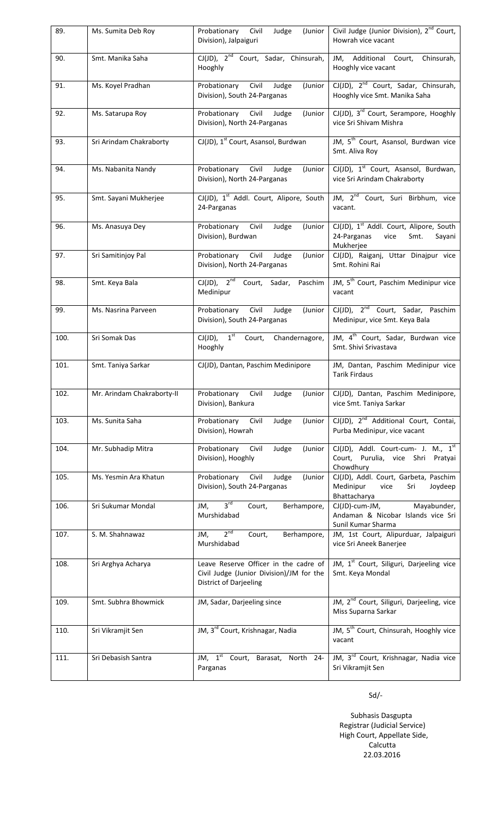| 89.  | Ms. Sumita Deb Roy         | Probationary Civil Judge<br>(Junior<br>Division), Jalpaiguri                                                | Civil Judge (Junior Division), 2 <sup>nd</sup> Court,<br>Howrah vice vacant                               |
|------|----------------------------|-------------------------------------------------------------------------------------------------------------|-----------------------------------------------------------------------------------------------------------|
| 90.  | Smt. Manika Saha           | CJ(JD), 2 <sup>nd</sup> Court, Sadar, Chinsurah,<br>Hooghly                                                 | JM, Additional Court, Chinsurah,<br>Hooghly vice vacant                                                   |
| 91.  | Ms. Koyel Pradhan          | Probationary<br>Civil<br>Judge<br>(Junior<br>Division), South 24-Parganas                                   | CJ(JD), 2 <sup>nd</sup> Court, Sadar, Chinsurah,<br>Hooghly vice Smt. Manika Saha                         |
| 92.  | Ms. Satarupa Roy           | (Junior<br>Probationary Civil Judge<br>Division), North 24-Parganas                                         | CJ(JD), 3 <sup>rd</sup> Court, Serampore, Hooghly<br>vice Sri Shivam Mishra                               |
| 93.  | Sri Arindam Chakraborty    | CJ(JD), 1 <sup>st</sup> Court, Asansol, Burdwan                                                             | JM, 5 <sup>th</sup> Court, Asansol, Burdwan vice<br>Smt. Aliva Roy                                        |
| 94.  | Ms. Nabanita Nandy         | Probationary Civil Judge<br>(Junior<br>Division), North 24-Parganas                                         | CJ(JD), 1 <sup>st</sup> Court, Asansol, Burdwan,<br>vice Sri Arindam Chakraborty                          |
| 95.  | Smt. Sayani Mukherjee      | CJ(JD), 1 <sup>st</sup> Addl. Court, Alipore, South<br>24-Parganas                                          | JM, 2 <sup>nd</sup> Court, Suri Birbhum, vice<br>vacant.                                                  |
| 96.  | Ms. Anasuya Dey            | Probationary<br>Civil<br>Judge<br>(Junior<br>Division), Burdwan                                             | CJ(JD), 1 <sup>st</sup> Addl. Court, Alipore, South<br>24-Parganas<br>vice<br>Smt.<br>Sayani<br>Mukherjee |
| 97.  | Sri Samitinjoy Pal         | Probationary Civil<br>Judge<br>(Junior<br>Division), North 24-Parganas                                      | CJ(JD), Raiganj, Uttar Dinajpur vice<br>Smt. Rohini Rai                                                   |
| 98.  | Smt. Keya Bala             | $CJ(JD)$ , $2^{nd}$ Court, Sadar,<br>Paschim<br>Medinipur                                                   | JM, 5 <sup>th</sup> Court, Paschim Medinipur vice<br>vacant                                               |
| 99.  | Ms. Nasrina Parveen        | Probationary Civil<br>Judge<br>(Junior<br>Division), South 24-Parganas                                      | CJ(JD), 2 <sup>nd</sup> Court, Sadar, Paschim<br>Medinipur, vice Smt. Keya Bala                           |
| 100. | Sri Somak Das              | $CI(JD)$ , $1st$ Court, Chandernagore,<br>Hooghly                                                           | JM, 4 <sup>th</sup> Court, Sadar, Burdwan vice<br>Smt. Shivi Srivastava                                   |
| 101. | Smt. Taniya Sarkar         | CJ(JD), Dantan, Paschim Medinipore                                                                          | JM, Dantan, Paschim Medinipur vice<br><b>Tarik Firdaus</b>                                                |
| 102. | Mr. Arindam Chakraborty-II | Probationary<br>Judge<br>Civil<br>(Junior<br>Division), Bankura                                             | CJ(JD), Dantan, Paschim Medinipore,<br>vice Smt. Taniya Sarkar                                            |
| 103. | Ms. Sunita Saha            | Probationary<br>Civil<br>Judge<br>(Junior<br>Division), Howrah                                              | CJ(JD), 2 <sup>nd</sup> Additional Court, Contai,<br>Purba Medinipur, vice vacant                         |
| 104. | Mr. Subhadip Mitra         | Probationary<br>Civil<br>Judge<br>(Junior<br>Division), Hooghly                                             | CJ(JD), Addl. Court-cum- J. M., 1st<br>Court, Purulia, vice Shri Pratyai<br>Chowdhury                     |
| 105. | Ms. Yesmin Ara Khatun      | Civil<br>Judge<br>Probationary<br>(Junior<br>Division), South 24-Parganas                                   | CJ(JD), Addl. Court, Garbeta, Paschim<br>Medinipur<br>vice<br>Sri<br>Joydeep<br>Bhattacharya              |
| 106. | Sri Sukumar Mondal         | 3 <sup>rd</sup><br>JM,<br>Court,<br>Berhampore,<br>Murshidabad                                              | Mayabunder,<br>CJ(JD)-cum-JM,<br>Andaman & Nicobar Islands vice Sri<br>Sunil Kumar Sharma                 |
| 107. | S. M. Shahnawaz            | 2 <sup>nd</sup><br>Court,<br>Berhampore,<br>JM,<br>Murshidabad                                              | JM, 1st Court, Alipurduar, Jalpaiguri<br>vice Sri Aneek Banerjee                                          |
| 108. | Sri Arghya Acharya         | Leave Reserve Officer in the cadre of<br>Civil Judge (Junior Division)/JM for the<br>District of Darjeeling | JM, 1 <sup>st</sup> Court, Siliguri, Darjeeling vice<br>Smt. Keya Mondal                                  |
| 109. | Smt. Subhra Bhowmick       | JM, Sadar, Darjeeling since                                                                                 | JM, 2 <sup>nd</sup> Court, Siliguri, Darjeeling, vice<br>Miss Suparna Sarkar                              |
| 110. | Sri Vikramjit Sen          | JM, 3 <sup>rd</sup> Court, Krishnagar, Nadia                                                                | JM, 5 <sup>th</sup> Court, Chinsurah, Hooghly vice<br>vacant                                              |
| 111. | Sri Debasish Santra        | JM, $1st$<br>North 24-<br>Court,<br>Barasat,<br>Parganas                                                    | JM, 3rd Court, Krishnagar, Nadia vice<br>Sri Vikramjit Sen                                                |

Sd/‐

 Subhasis Dasgupta Registrar (Judicial Service) High Court, Appellate Side, Calcutta 22.03.2016